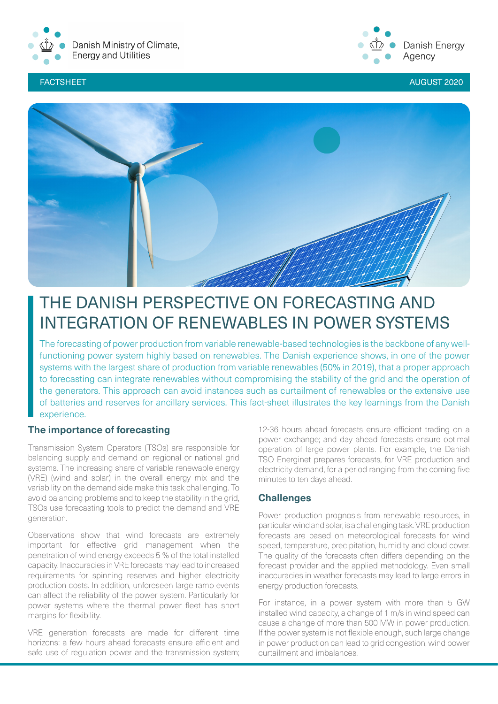



FACTSHEET AUGUST 2020 AUGUST 2020 AUGUST 2020



# THE DANISH PERSPECTIVE ON FORECASTING AND INTEGRATION OF RENEWABLES IN POWER SYSTEMS

The forecasting of power production from variable renewable-based technologies is the backbone of any wellfunctioning power system highly based on renewables. The Danish experience shows, in one of the power systems with the largest share of production from variable renewables (50% in 2019), that a proper approach to forecasting can integrate renewables without compromising the stability of the grid and the operation of the generators. This approach can avoid instances such as curtailment of renewables or the extensive use of batteries and reserves for ancillary services. This fact-sheet illustrates the key learnings from the Danish experience.

# **The importance of forecasting**

Transmission System Operators (TSOs) are responsible for balancing supply and demand on regional or national grid systems. The increasing share of variable renewable energy (VRE) (wind and solar) in the overall energy mix and the variability on the demand side make this task challenging. To avoid balancing problems and to keep the stability in the grid, TSOs use forecasting tools to predict the demand and VRE generation.

Observations show that wind forecasts are extremely important for effective grid management when the penetration of wind energy exceeds 5 % of the total installed capacity. Inaccuracies in VRE forecasts may lead to increased requirements for spinning reserves and higher electricity production costs. In addition, unforeseen large ramp events can affect the reliability of the power system. Particularly for power systems where the thermal power fleet has short margins for flexibility.

VRE generation forecasts are made for different time horizons: a few hours ahead forecasts ensure efficient and safe use of regulation power and the transmission system;

12-36 hours ahead forecasts ensure efficient trading on a power exchange; and day ahead forecasts ensure optimal operation of large power plants. For example, the Danish TSO Energinet prepares forecasts, for VRE production and electricity demand, for a period ranging from the coming five minutes to ten days ahead.

# **Challenges**

Power production prognosis from renewable resources, in particular wind and solar, is a challenging task. VRE production forecasts are based on meteorological forecasts for wind speed, temperature, precipitation, humidity and cloud cover. The quality of the forecasts often differs depending on the forecast provider and the applied methodology. Even small inaccuracies in weather forecasts may lead to large errors in energy production forecasts.

For instance, in a power system with more than 5 GW installed wind capacity, a change of 1 m/s in wind speed can cause a change of more than 500 MW in power production. If the power system is not flexible enough, such large change in power production can lead to grid congestion, wind power curtailment and imbalances.